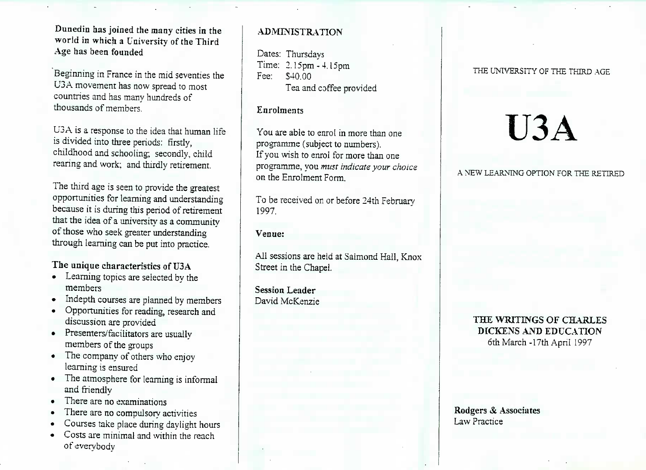**World in which a University of the Third** Age has been founded **Age has been founded**

Beginning in France in the mid seventies the U3A movement has now spread to most countries and has many hundreds of thousands of members thousands of members.

U3A is a response to the idea that human life<br>is divided into three periods: firstly,  $\frac{1}{2}$ is didded index three periods:  $\frac{1}{2}$ rearing and work; and thirdly retirement.

The third age is seen to provide the greatest opportunities for the continuities and understanding that the idea of a university as a community of those who seek greater understanding hrough learning can be put into practice.

- Learning topics are selected by the
- ndepth co  $\bullet$
- Opportunities for reading, research and discussion are provided
- resenters/facilitators are members of the groups
- $\mathbf{r}$  he company of others  $\mathbf{r}$ learning is ensured
- The atmosphere for learning is informal
- here are no
- There are no compulsory act
- Courses take place during daylight h
- Costs are minimal and within the reach  $\epsilon$ <sup>c</sup>  $\alpha$  and  $\alpha$  minimal and within the reach of evervbodv

## **ADMINISTRATION**

Dates: Thursdays Time: 2.15pm - 4.15pmTea and coffee provided

### **Enrolments**

You are able to enrol in more than oneprogramme (subject to numbers).If you wish to enrol for more than one programme, you *must indicate your choice*on the Enrolment Form.

To be received on or before 24th February1997.

#### **Venue:**

All sessions are held at Salmond Hall, KnoxStreet in the Chapel.

**Session Leader** David McKenzie

#### THE UNIVERSITY OF THE THIRD AGE

# **U3A**

#### A NEW LEARNING OPTION FOR THE RETIRED

### **THE WRITINGS OF CHARLESDICKENS AND EDUCATION**6th March-17th April 1997

#### **Rodgers & AssociatesLaw Practice**